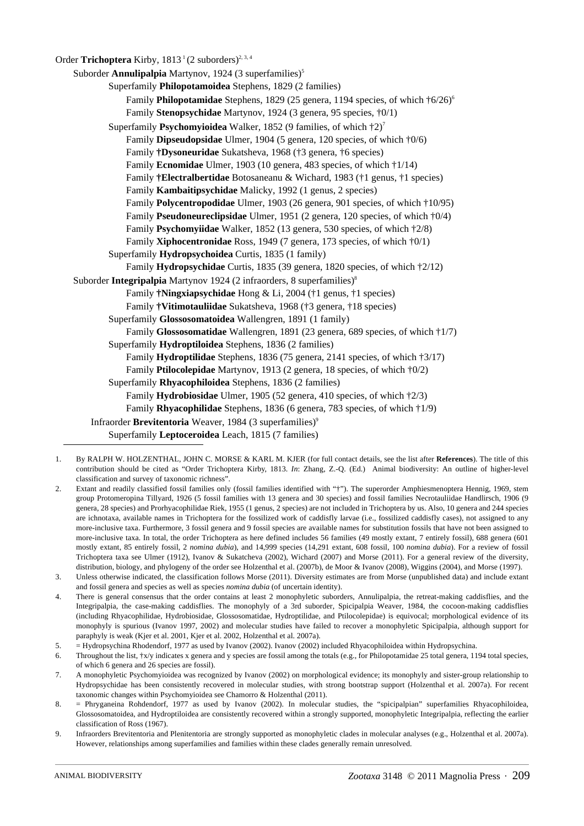Order **Trichoptera** Kirby,  $1813<sup>1</sup>(2 \text{ suborders})^{2,3,4}$ 

Suborder **Annulipalpia** Martynov, 1924 (3 superfamilies)<sup>5</sup> Superfamily **Philopotamoidea** Stephens, 1829 (2 families) Family Philopotamidae Stephens, 1829 (25 genera, 1194 species, of which  $\frac{1}{6}$ 6/26)<sup>6</sup> Family **Stenopsychidae** Martynov, 1924 (3 genera, 95 species, †0/1) Superfamily **Psychomyioidea** Walker, 1852 (9 families, of which †2)7 Family **Dipseudopsidae** Ulmer, 1904 (5 genera, 120 species, of which †0/6) Family **†Dysoneuridae** Sukatsheva, 1968 (†3 genera, †6 species) Family **Ecnomidae** Ulmer, 1903 (10 genera, 483 species, of which †1/14) Family **†Electralbertidae** Botosaneanu & Wichard, 1983 (†1 genus, †1 species) Family **Kambaitipsychidae** Malicky, 1992 (1 genus, 2 species) Family **Polycentropodidae** Ulmer, 1903 (26 genera, 901 species, of which †10/95) Family **Pseudoneureclipsidae** Ulmer, 1951 (2 genera, 120 species, of which †0/4) Family **Psychomyiidae** Walker, 1852 (13 genera, 530 species, of which †2/8) Family **Xiphocentronidae** Ross, 1949 (7 genera, 173 species, of which †0/1) Superfamily **Hydropsychoidea** Curtis, 1835 (1 family) Family **Hydropsychidae** Curtis, 1835 (39 genera, 1820 species, of which †2/12) Suborder **Integripalpia** Martynov 1924 (2 infraorders, 8 superfamilies)<sup>8</sup> Family **†Ningxiapsychidae** Hong & Li, 2004 (†1 genus, †1 species) Family **†Vitimotauliidae** Sukatsheva, 1968 (†3 genera, †18 species) Superfamily **Glossosomatoidea** Wallengren, 1891 (1 family) Family **Glossosomatidae** Wallengren, 1891 (23 genera, 689 species, of which †1/7) Superfamily **Hydroptiloidea** Stephens, 1836 (2 families) Family **Hydroptilidae** Stephens, 1836 (75 genera, 2141 species, of which †3/17) Family **Ptilocolepidae** Martynov, 1913 (2 genera, 18 species, of which †0/2) Superfamily **Rhyacophiloidea** Stephens, 1836 (2 families) Family **Hydrobiosidae** Ulmer, 1905 (52 genera, 410 species, of which †2/3) Family **Rhyacophilidae** Stephens, 1836 (6 genera, 783 species, of which †1/9) Infraorder **Brevitentoria** Weaver, 1984 (3 superfamilies)<sup>9</sup> Superfamily **Leptoceroidea** Leach, 1815 (7 families)

- 1. By RALPH W. HOLZENTHAL, JOHN C. MORSE & KARL M. KJER (for full contact details, see the list after **References**). The title of this contribution should be cited as "Order Trichoptera Kirby, 1813. *In*: Zhang, Z.-Q. (Ed.) Animal biodiversity: An outline of higher-level classification and survey of taxonomic richness".
- 2. Extant and readily classified fossil families only (fossil families identified with "†"). The superorder Amphiesmenoptera Hennig, 1969, stem group Protomeropina Tillyard, 1926 (5 fossil families with 13 genera and 30 species) and fossil families Necrotauliidae Handlirsch, 1906 (9 genera, 28 species) and Prorhyacophilidae Riek, 1955 (1 genus, 2 species) are not included in Trichoptera by us. Also, 10 genera and 244 species are ichnotaxa, available names in Trichoptera for the fossilized work of caddisfly larvae (i.e., fossilized caddisfly cases), not assigned to any more-inclusive taxa. Furthermore, 3 fossil genera and 9 fossil species are available names for substitution fossils that have not been assigned to more-inclusive taxa. In total, the order Trichoptera as here defined includes 56 families (49 mostly extant, 7 entirely fossil), 688 genera (601 mostly extant, 85 entirely fossil, 2 *nomina dubia*), and 14,999 species (14,291 extant, 608 fossil, 100 *nomina dubia*). For a review of fossil Trichoptera taxa see Ulmer (1912), Ivanov & Sukatcheva (2002), Wichard (2007) and Morse (2011). For a general review of the diversity, distribution, biology, and phylogeny of the order see Holzenthal et al. (2007b), de Moor & Ivanov (2008), Wiggins (2004), and Morse (1997).
- 3. Unless otherwise indicated, the classification follows Morse (2011). Diversity estimates are from Morse (unpublished data) and include extant and fossil genera and species as well as species *nomina dubia* (of uncertain identity).
- 4. There is general consensus that the order contains at least 2 monophyletic suborders, Annulipalpia, the retreat-making caddisflies, and the Integripalpia, the case-making caddisflies. The monophyly of a 3rd suborder, Spicipalpia Weaver, 1984, the cocoon-making caddisflies (including Rhyacophilidae, Hydrobiosidae, Glossosomatidae, Hydroptilidae, and Ptilocolepidae) is equivocal; morphological evidence of its monophyly is spurious (Ivanov 1997, 2002) and molecular studies have failed to recover a monophyletic Spicipalpia, although support for paraphyly is weak (Kjer et al. 2001, Kjer et al. 2002, Holzenthal et al. 2007a).
- 5. = Hydropsychina Rhodendorf, 1977 as used by Ivanov (2002). Ivanov (2002) included Rhyacophiloidea within Hydropsychina.
- 6. Throughout the list, †x/y indicates x genera and y species are fossil among the totals (e.g., for Philopotamidae 25 total genera, 1194 total species, of which 6 genera and 26 species are fossil).
- 7. A monophyletic Psychomyioidea was recognized by Ivanov (2002) on morphological evidence; its monophyly and sister-group relationship to Hydropsychidae has been consistently recovered in molecular studies, with strong bootstrap support (Holzenthal et al. 2007a). For recent taxonomic changes within Psychomyioidea see Chamorro & Holzenthal (2011).
- 8. = Phryganeina Rohdendorf, 1977 as used by Ivanov (2002). In molecular studies, the "spicipalpian" superfamilies Rhyacophiloidea, Glossosomatoidea, and Hydroptiloidea are consistently recovered within a strongly supported, monophyletic Integripalpia, reflecting the earlier classification of Ross (1967).
- 9. Infraorders Brevitentoria and Plenitentoria are strongly supported as monophyletic clades in molecular analyses (e.g., Holzenthal et al. 2007a). However, relationships among superfamilies and families within these clades generally remain unresolved.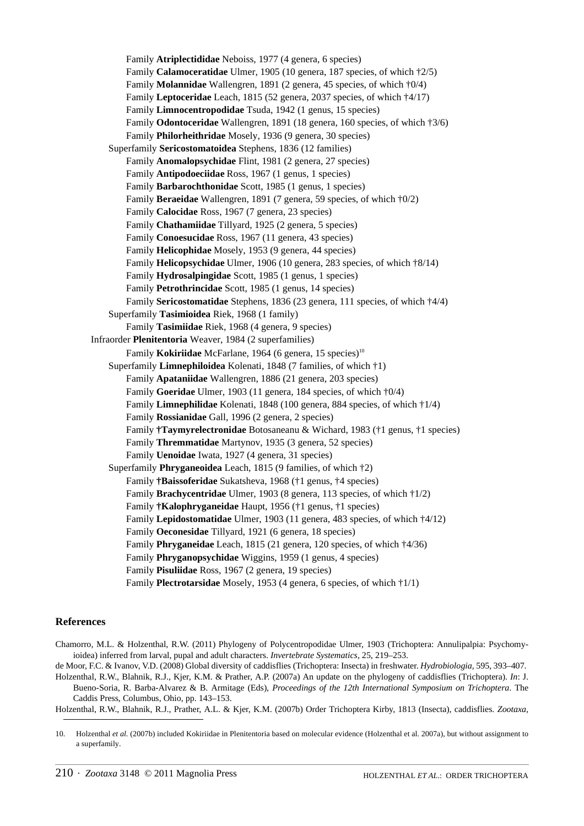Family **Atriplectididae** Neboiss, 1977 (4 genera, 6 species) Family **Calamoceratidae** Ulmer, 1905 (10 genera, 187 species, of which †2/5) Family **Molannidae** Wallengren, 1891 (2 genera, 45 species, of which †0/4) Family **Leptoceridae** Leach, 1815 (52 genera, 2037 species, of which †4/17) Family **Limnocentropodidae** Tsuda, 1942 (1 genus, 15 species) Family **Odontoceridae** Wallengren, 1891 (18 genera, 160 species, of which †3/6) Family **Philorheithridae** Mosely, 1936 (9 genera, 30 species) Superfamily **Sericostomatoidea** Stephens, 1836 (12 families) Family **Anomalopsychidae** Flint, 1981 (2 genera, 27 species) Family **Antipodoeciidae** Ross, 1967 (1 genus, 1 species) Family **Barbarochthonidae** Scott, 1985 (1 genus, 1 species) Family **Beraeidae** Wallengren, 1891 (7 genera, 59 species, of which †0/2) Family **Calocidae** Ross, 1967 (7 genera, 23 species) Family **Chathamiidae** Tillyard, 1925 (2 genera, 5 species) Family **Conoesucidae** Ross, 1967 (11 genera, 43 species) Family **Helicophidae** Mosely, 1953 (9 genera, 44 species) Family **Helicopsychidae** Ulmer, 1906 (10 genera, 283 species, of which †8/14) Family **Hydrosalpingidae** Scott, 1985 (1 genus, 1 species) Family **Petrothrincidae** Scott, 1985 (1 genus, 14 species) Family **Sericostomatidae** Stephens, 1836 (23 genera, 111 species, of which †4/4) Superfamily **Tasimioidea** Riek, 1968 (1 family) Family **Tasimiidae** Riek, 1968 (4 genera, 9 species) Infraorder **Plenitentoria** Weaver, 1984 (2 superfamilies) Family **Kokiriidae** McFarlane, 1964 (6 genera, 15 species)<sup>10</sup> Superfamily **Limnephiloidea** Kolenati, 1848 (7 families, of which †1) Family **Apataniidae** Wallengren, 1886 (21 genera, 203 species) Family **Goeridae** Ulmer, 1903 (11 genera, 184 species, of which †0/4) Family **Limnephilidae** Kolenati, 1848 (100 genera, 884 species, of which †1/4) Family **Rossianidae** Gall, 1996 (2 genera, 2 species) Family **†Taymyrelectronidae** Botosaneanu & Wichard, 1983 (†1 genus, †1 species) Family **Thremmatidae** Martynov, 1935 (3 genera, 52 species) Family **Uenoidae** Iwata, 1927 (4 genera, 31 species) Superfamily **Phryganeoidea** Leach, 1815 (9 families, of which †2) Family **†Baissoferidae** Sukatsheva, 1968 (†1 genus, †4 species) Family **Brachycentridae** Ulmer, 1903 (8 genera, 113 species, of which †1/2) Family **†Kalophryganeidae** Haupt, 1956 (†1 genus, †1 species) Family **Lepidostomatidae** Ulmer, 1903 (11 genera, 483 species, of which †4/12) Family **Oeconesidae** Tillyard, 1921 (6 genera, 18 species) Family **Phryganeidae** Leach, 1815 (21 genera, 120 species, of which †4/36) Family **Phryganopsychidae** Wiggins, 1959 (1 genus, 4 species) Family **Pisuliidae** Ross, 1967 (2 genera, 19 species) Family **Plectrotarsidae** Mosely, 1953 (4 genera, 6 species, of which †1/1)

## **References**

Chamorro, M.L. & Holzenthal, R.W. (2011) Phylogeny of Polycentropodidae Ulmer, 1903 (Trichoptera: Annulipalpia: Psychomyioidea) inferred from larval, pupal and adult characters. *Invertebrate Systematics*, 25, 219–253.

de Moor, F.C. & Ivanov, V.D. (2008) Global diversity of caddisflies (Trichoptera: Insecta) in freshwater. *Hydrobiologia,* 595, 393–407.

Holzenthal, R.W., Blahnik, R.J., Kjer, K.M. & Prather, A.P. (2007a) An update on the phylogeny of caddisflies (Trichoptera). *In*: J. Bueno-Soria, R. Barba-Alvarez & B. Armitage (Eds), *Proceedings of the 12th International Symposium on Trichoptera*. The Caddis Press, Columbus, Ohio, pp. 143–153.

Holzenthal, R.W., Blahnik, R.J., Prather, A.L. & Kjer, K.M. (2007b) Order Trichoptera Kirby, 1813 (Insecta), caddisflies. *Zootaxa,* 

<sup>10.</sup> Holzenthal *et al.* (2007b) included Kokiriidae in Plenitentoria based on molecular evidence (Holzenthal et al. 2007a), but without assignment to a superfamily.